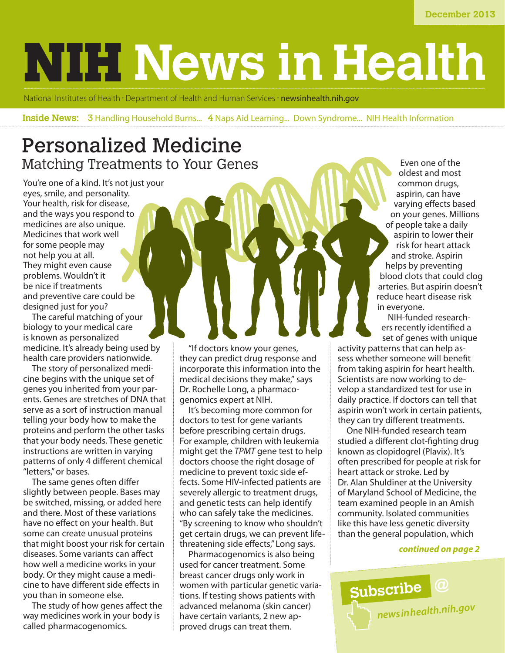# **NIH News in Health**

National Institutes of Health · Department of Health and Human Services · [newsinhealth.nih.gov](http://newsinhealth.nih.gov)

**Inside News:** 3 Handling Household Burns... 4 Naps Aid Learning... Down Syndrome... NIH Health Information

# Personalized Medicine Matching Treatments to Your Genes

You're one of a kind. It's not just your eyes, smile, and personality. Your health, risk for disease, and the ways you respond to medicines are also unique. Medicines that work well for some people may not help you at all. They might even cause problems. Wouldn't it be nice if treatments and preventive care could be designed just for you?

The careful matching of your biology to your medical care is known as personalized medicine. It's already being used by health care providers nationwide.

The story of personalized medicine begins with the unique set of genes you inherited from your parents. Genes are stretches of DNA that serve as a sort of instruction manual telling your body how to make the proteins and perform the other tasks that your body needs. These genetic instructions are written in varying patterns of only 4 different chemical "letters," or bases.

The same genes often differ slightly between people. Bases may be switched, missing, or added here and there. Most of these variations have no effect on your health. But some can create unusual proteins that might boost your risk for certain diseases. Some variants can affect how well a medicine works in your body. Or they might cause a medicine to have different side effects in you than in someone else.

The study of how genes affect the way medicines work in your body is called pharmacogenomics.

"If doctors know your genes, they can predict drug response and incorporate this information into the medical decisions they make," says Dr. Rochelle Long, a pharmacogenomics expert at NIH.

It's becoming more common for doctors to test for gene variants before prescribing certain drugs. For example, children with leukemia might get the *TPMT* gene test to help doctors choose the right dosage of medicine to prevent toxic side effects. Some HIV-infected patients are severely allergic to treatment drugs, and genetic tests can help identify who can safely take the medicines. "By screening to know who shouldn't get certain drugs, we can prevent lifethreatening side effects," Long says.

Pharmacogenomics is also being used for cancer treatment. Some breast cancer drugs only work in women with particular genetic variations. If testing shows patients with advanced melanoma (skin cancer) have certain variants, 2 new approved drugs can treat them.

Even one of the oldest and most common drugs, aspirin, can have varying effects based on your genes. Millions of people take a daily aspirin to lower their risk for heart attack and stroke. Aspirin helps by preventing blood clots that could clog arteries. But aspirin doesn't reduce heart disease risk in everyone.

NIH-funded researchers recently identified a set of genes with unique

activity patterns that can help assess whether someone will benefit from taking aspirin for heart health. Scientists are now working to develop a standardized test for use in daily practice. If doctors can tell that aspirin won't work in certain patients, they can try different treatments.

One NIH-funded research team studied a different clot-fighting drug known as clopidogrel (Plavix). It's often prescribed for people at risk for heart attack or stroke. Led by Dr. Alan Shuldiner at the University of Maryland School of Medicine, the team examined people in an Amish community. Isolated communities like this have less genetic diversity than the general population, which

### *continued on page 2*

**Subscribe @** *[newsinhealth.nih.gov](http://newsinhealth.nih.gov)*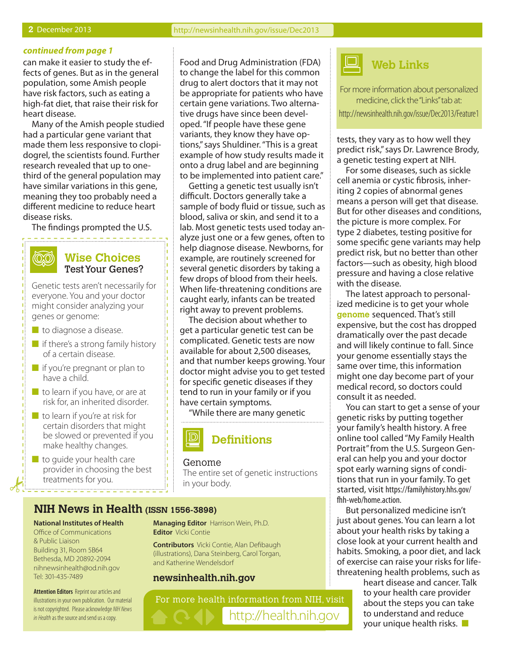#### *continued from page 1*

can make it easier to study the effects of genes. But as in the general population, some Amish people have risk factors, such as eating a high-fat diet, that raise their risk for heart disease.

Many of the Amish people studied had a particular gene variant that made them less responsive to clopidogrel, the scientists found. Further research revealed that up to onethird of the general population may have similar variations in this gene, meaning they too probably need a different medicine to reduce heart disease risks.

The findings prompted the U.S.

## **Wise Choices** Test Your Genes?

Genetic tests aren't necessarily for everyone. You and your doctor might consider analyzing your genes or genome:

 $\blacksquare$  to diagnose a disease.

(QQ)

- $\blacksquare$  if there's a strong family history of a certain disease.
- $\blacksquare$  if you're pregnant or plan to have a child.
- $\blacksquare$  to learn if you have, or are at risk for, an inherited disorder.
- $\blacksquare$  to learn if you're at risk for certain disorders that might be slowed or prevented if you make healthy changes.
- $\blacksquare$  to guide your health care provider in choosing the best treatments for you.

Food and Drug Administration (FDA) to change the label for this common drug to alert doctors that it may not be appropriate for patients who have certain gene variations. Two alternative drugs have since been developed. "If people have these gene variants, they know they have options," says Shuldiner. "This is a great example of how study results made it onto a drug label and are beginning to be implemented into patient care."

Getting a genetic test usually isn't difficult. Doctors generally take a sample of body fluid or tissue, such as blood, saliva or skin, and send it to a lab. Most genetic tests used today analyze just one or a few genes, often to help diagnose disease. Newborns, for example, are routinely screened for several genetic disorders by taking a few drops of blood from their heels. When life-threatening conditions are caught early, infants can be treated right away to prevent problems.

The decision about whether to get a particular genetic test can be complicated. Genetic tests are now available for about 2,500 diseases, and that number keeps growing. Your doctor might advise you to get tested for specific genetic diseases if they tend to run in your family or if you have certain symptoms.

"While there are many genetic



#### Genome

The entire set of genetic instructions in your body.

#### **NIH News in Health (ISSN 1556-3898)**

#### **National Institutes of Health**

Office of Communications & Public Liaison Building 31, Room 5B64 Bethesda, MD 20892-2094 nihnewsinhealth@od.nih.gov Tel: 301-435-7489

**Attention Editors** Reprint our articles and illustrations in your own publication. Our material is not copyrighted. Please acknowledge *NIH News in Health* as the source and send us a copy.

**Managing Editor** Harrison Wein, Ph.D. **Editor** Vicki Contie

**Contributors** Vicki Contie, Alan Defibaugh (illustrations), Dana Steinberg, Carol Torgan, and Katherine Wendelsdorf

## **newsinhealth.nih.gov**

For more health information from NIH, visit http://health.nih.gov



For more information about personalized medicine, click the "Links" tab at: [http://newsinhealth.nih.gov/issue/Dec2013/Feature1](http://newsinhealth.nih.gov/issue/Apr2011/Feature1)

tests, they vary as to how well they predict risk," says Dr. Lawrence Brody, a genetic testing expert at NIH.

For some diseases, such as sickle cell anemia or cystic fibrosis, inheriting 2 copies of abnormal genes means a person will get that disease. But for other diseases and conditions, the picture is more complex. For type 2 diabetes, testing positive for some specific gene variants may help predict risk, but no better than other factors—such as obesity, high blood pressure and having a close relative with the disease.

The latest approach to personalized medicine is to get your whole **genome** sequenced. That's still expensive, but the cost has dropped dramatically over the past decade and will likely continue to fall. Since your genome essentially stays the same over time, this information might one day become part of your medical record, so doctors could consult it as needed.

You can start to get a sense of your genetic risks by putting together your family's health history. A free online tool called "My Family Health Portrait" from the U.S. Surgeon General can help you and your doctor spot early warning signs of conditions that run in your family. To get started, visit https://familyhistory.hhs.gov/ fhh-web/home.action.

But personalized medicine isn't just about genes. You can learn a lot about your health risks by taking a close look at your current health and habits. Smoking, a poor diet, and lack of exercise can raise your risks for lifethreatening health problems, such as

> heart disease and cancer. Talk to your health care provider about the steps you can take to understand and reduce your unique health risks.  $\blacksquare$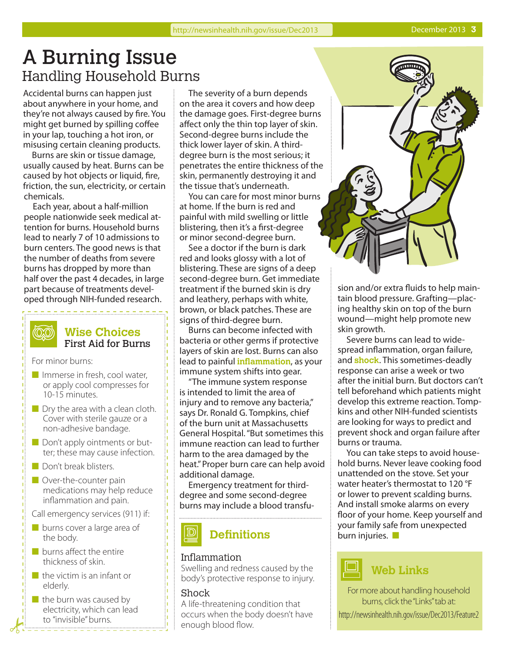# A Burning Issue Handling Household Burns

Accidental burns can happen just about anywhere in your home, and they're not always caused by fire. You might get burned by spilling coffee in your lap, touching a hot iron, or misusing certain cleaning products.

Burns are skin or tissue damage, usually caused by heat. Burns can be caused by hot objects or liquid, fire, friction, the sun, electricity, or certain chemicals.

Each year, about a half-million people nationwide seek medical attention for burns. Household burns lead to nearly 7 of 10 admissions to burn centers. The good news is that the number of deaths from severe burns has dropped by more than half over the past 4 decades, in large part because of treatments developed through NIH-funded research.

## **Wise Choices** First Aid for Burns

For minor burns:

- $\blacksquare$  Immerse in fresh, cool water, or apply cool compresses for 10-15 minutes.
- $\blacksquare$  Dry the area with a clean cloth. Cover with sterile gauze or a non-adhesive bandage.
- $\blacksquare$  Don't apply ointments or butter; these may cause infection.
- **n** Don't break blisters.
- $\blacksquare$  Over-the-counter pain medications may help reduce inflammation and pain.
- Call emergency services (911) if:
- $\blacksquare$  burns cover a large area of the body.
- $\blacksquare$  burns affect the entire thickness of skin.
- $\blacksquare$  the victim is an infant or elderly.
- $\blacksquare$  the burn was caused by electricity, which can lead to "invisible" burns.

The severity of a burn depends on the area it covers and how deep the damage goes. First-degree burns affect only the thin top layer of skin. Second-degree burns include the thick lower layer of skin. A thirddegree burn is the most serious; it penetrates the entire thickness of the skin, permanently destroying it and the tissue that's underneath.

You can care for most minor burns at home. If the burn is red and painful with mild swelling or little blistering, then it's a first-degree or minor second-degree burn.

See a doctor if the burn is dark red and looks glossy with a lot of blistering. These are signs of a deep second-degree burn. Get immediate treatment if the burned skin is dry and leathery, perhaps with white, brown, or black patches. These are signs of third-degree burn.

Burns can become infected with bacteria or other germs if protective layers of skin are lost. Burns can also lead to painful **inflammation**, as your immune system shifts into gear.

"The immune system response is intended to limit the area of injury and to remove any bacteria," says Dr. Ronald G. Tompkins, chief of the burn unit at Massachusetts General Hospital. "But sometimes this immune reaction can lead to further harm to the area damaged by the heat." Proper burn care can help avoid additional damage.

Emergency treatment for thirddegree and some second-degree burns may include a blood transfu-

# **Definitions**

## Inflammation

Swelling and redness caused by the body's protective response to injury.

## Shock

A life-threatening condition that occurs when the body doesn't have enough blood flow.



sion and/or extra fluids to help maintain blood pressure. Grafting—placing healthy skin on top of the burn wound—might help promote new skin growth.

Severe burns can lead to widespread inflammation, organ failure, and **shock**. This sometimes-deadly response can arise a week or two after the initial burn. But doctors can't tell beforehand which patients might develop this extreme reaction. Tompkins and other NIH-funded scientists are looking for ways to predict and prevent shock and organ failure after burns or trauma.

You can take steps to avoid household burns. Never leave cooking food unattended on the stove. Set your water heater's thermostat to 120 °F or lower to prevent scalding burns. And install smoke alarms on every floor of your home. Keep yourself and your family safe from unexpected burn injuries.  $\blacksquare$ 



For more about handling household burns, click the "Links" tab at: [http://newsinhealth.nih.gov/issue/Dec2013/Feature2](http://newsinhealth.nih.gov/issue/Apr2011/Feature2)